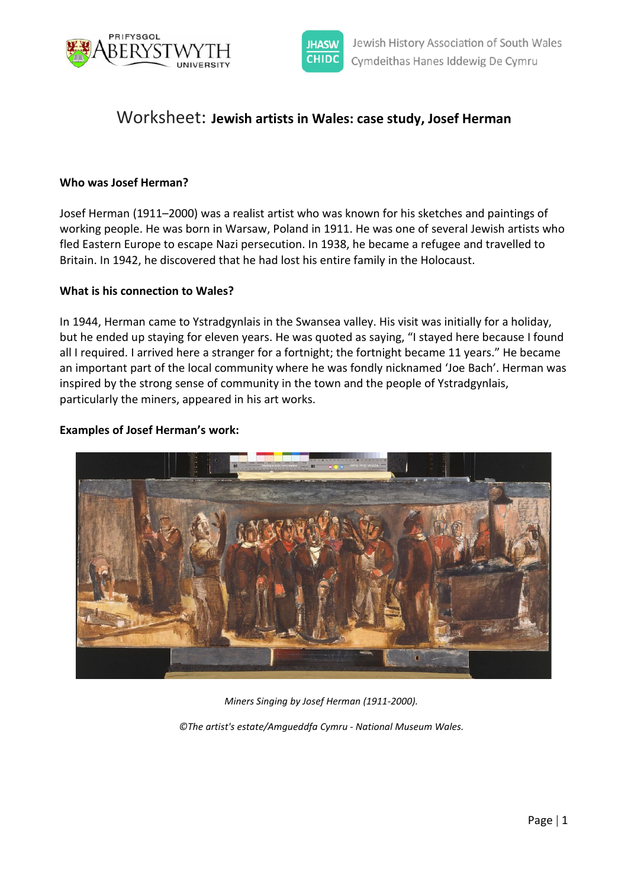



# Worksheet: **Jewish artists in Wales: case study, Josef Herman**

### **Who was Josef Herman?**

Josef Herman (1911–2000) was a realist artist who was known for his sketches and paintings of working people. He was born in Warsaw, Poland in 1911. He was one of several Jewish artists who fled Eastern Europe to escape Nazi persecution. In 1938, he became a refugee and travelled to Britain. In 1942, he discovered that he had lost his entire family in the Holocaust.

#### **What is his connection to Wales?**

In 1944, Herman came to Ystradgynlais in the Swansea valley. His visit was initially for a holiday, but he ended up staying for eleven years. He was quoted as saying, "I stayed here because I found all I required. I arrived here a stranger for a fortnight; the fortnight became 11 years." He became an important part of the local community where he was fondly nicknamed 'Joe Bach'. Herman was inspired by the strong sense of community in the town and the people of Ystradgynlais, particularly the miners, appeared in his art works.

#### **Examples of Josef Herman's work:**



*Miners Singing by Josef Herman (1911-2000).*

*©The artist's estate/Amgueddfa Cymru - National Museum Wales.*